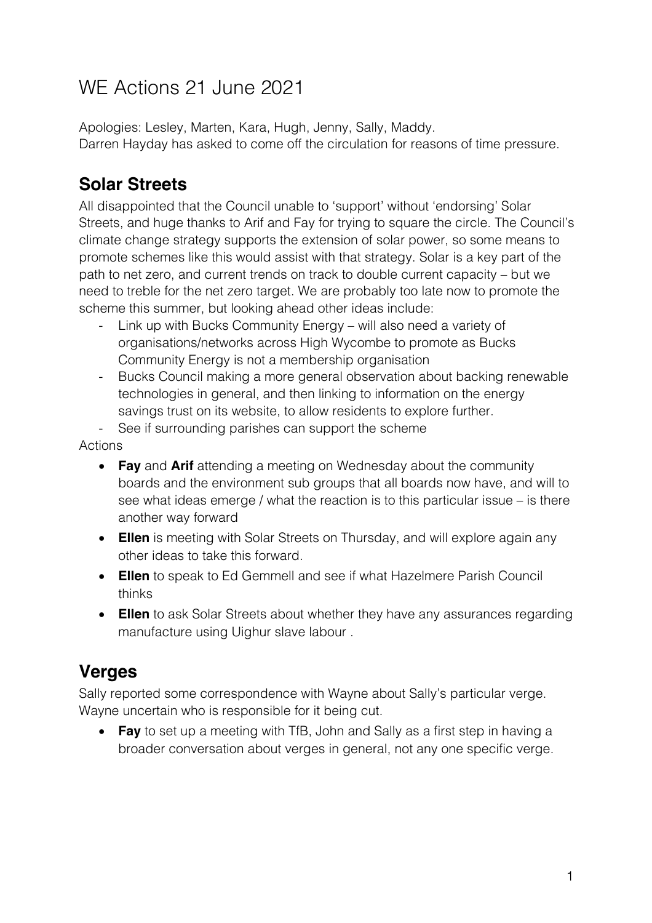# WE Actions 21 June 2021

Apologies: Lesley, Marten, Kara, Hugh, Jenny, Sally, Maddy. Darren Hayday has asked to come off the circulation for reasons of time pressure.

### **Solar Streets**

All disappointed that the Council unable to 'support' without 'endorsing' Solar Streets, and huge thanks to Arif and Fay for trying to square the circle. The Council's climate change strategy supports the extension of solar power, so some means to promote schemes like this would assist with that strategy. Solar is a key part of the path to net zero, and current trends on track to double current capacity – but we need to treble for the net zero target. We are probably too late now to promote the scheme this summer, but looking ahead other ideas include:

- Link up with Bucks Community Energy will also need a variety of organisations/networks across High Wycombe to promote as Bucks Community Energy is not a membership organisation
- Bucks Council making a more general observation about backing renewable technologies in general, and then linking to information on the energy savings trust on its website, to allow residents to explore further.

See if surrounding parishes can support the scheme

Actions

- **Fay** and **Arif** attending a meeting on Wednesday about the community boards and the environment sub groups that all boards now have, and will to see what ideas emerge / what the reaction is to this particular issue – is there another way forward
- **Ellen** is meeting with Solar Streets on Thursday, and will explore again any other ideas to take this forward.
- **Ellen** to speak to Ed Gemmell and see if what Hazelmere Parish Council thinks
- **Ellen** to ask Solar Streets about whether they have any assurances regarding manufacture using Uighur slave labour .

### **Verges**

Sally reported some correspondence with Wayne about Sally's particular verge. Wayne uncertain who is responsible for it being cut.

• **Fay** to set up a meeting with TfB, John and Sally as a first step in having a broader conversation about verges in general, not any one specific verge.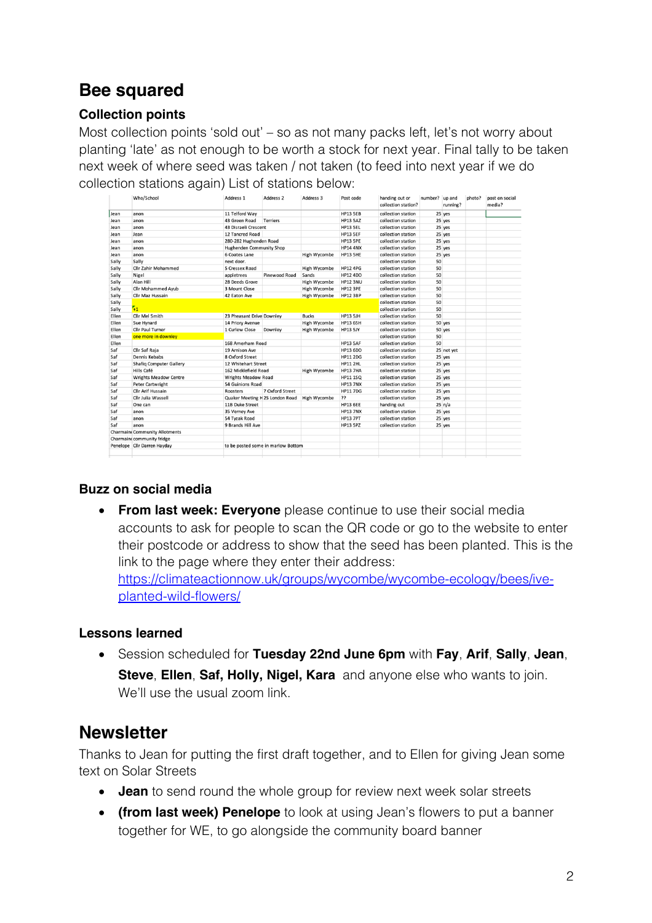### **Bee squared**

#### **Collection points**

Most collection points 'sold out' – so as not many packs left, let's not worry about planting 'late' as not enough to be worth a stock for next year. Final tally to be taken next week of where seed was taken / not taken (to feed into next year if we do collection stations again) List of stations below:

|       | Who/School                            | Address 1                       | Address <sub>2</sub>               | Address 3    | Post code       | handing out or<br>collection station? | number? up and | running?   | photo? | post on social<br>media? |
|-------|---------------------------------------|---------------------------------|------------------------------------|--------------|-----------------|---------------------------------------|----------------|------------|--------|--------------------------|
| Jean  | anon                                  | 11 Telford Way                  |                                    |              | HP13 5EB        | collection station                    |                | 25 yes     |        |                          |
| Jean  | anon                                  | 43 Green Road                   | Terriers                           |              | <b>HP13 5AZ</b> | collection station                    |                | 25 yes     |        |                          |
| Jean  | anon                                  | 43 Disraeli Crescent            |                                    |              | HP13 SEL        | collection station                    |                | 25 yes     |        |                          |
| Jean  | Jean                                  | 12 Tancred Road                 |                                    |              | HP13 5EF        | collection station                    |                | 25 yes     |        |                          |
| Jean  | anon                                  | 280-282 Hughenden Road          |                                    |              | HP13 SPE        | collection station                    |                | 25 yes     |        |                          |
| Jean  | anon                                  | <b>Hughenden Community Shop</b> |                                    |              | <b>HP14 4NX</b> | collection station                    |                | 25 yes     |        |                          |
| Jean  | anon                                  | 6 Coates Lane                   |                                    | High Wycombe | HP13 5HE        | collection station                    |                | 25 yes     |        |                          |
| Sally | Sally                                 | next door.                      |                                    |              |                 | collection station                    | 50             |            |        |                          |
| Sally | Cllr Zahir Mohammed                   | 5 Cressex Road                  |                                    | High Wycombe | <b>HP12 4PG</b> | collection station                    | 50             |            |        |                          |
| Sally | Nigel                                 | appletrees                      | Pinewood Road                      | Sands        | <b>HP12 4DD</b> | collection station                    | 50             |            |        |                          |
| Sally | Alan Hill                             | 28 Deeds Grove                  |                                    | High Wycombe | <b>HP12 3NU</b> | collection station                    | 50             |            |        |                          |
| Sally | Cllr Mohammed Ayub                    | 3 Mount Close                   |                                    | High Wycombe | <b>HP12 3PE</b> | collection station                    | 50             |            |        |                          |
| Sally | Cllr Maz Hussain                      | 42 Eaton Ave                    |                                    | High Wycombe | <b>HP12 3BP</b> | collection station                    | 50             |            |        |                          |
| Sally |                                       |                                 |                                    |              |                 | collection station                    | 50             |            |        |                          |
| Sally | $\mathbf{z}_1$                        |                                 |                                    |              |                 | collection station                    | 50             |            |        |                          |
| Ellen | Cllr Mel Smith                        | 23 Pheasant Drive Downley       |                                    | <b>Bucks</b> | <b>HP13 5JH</b> | collection station                    | 50             |            |        |                          |
| Ellen | Sue Hynard                            | 14 Priory Avenue                |                                    | High Wycombe | <b>HP13 6SH</b> | collection station                    |                | 50 yes     |        |                          |
| Ellen | <b>Cllr Paul Turner</b>               | 1 Curlew Close                  | Downley                            | High Wycombe | HP13 5JY        | collection station                    |                | 50 yes     |        |                          |
| Ellen | one more in downley                   |                                 |                                    |              |                 | collection station                    | 50             |            |        |                          |
| Ellen |                                       | 168 Amerham Road                |                                    |              | <b>HP13 5AF</b> | collection station                    | 50             |            |        |                          |
| Saf   | Cllr Saf Raja                         | 19 Arnison Ave                  |                                    |              | <b>HP13 6DD</b> | collection station                    |                | 25 not yet |        |                          |
| Saf   | Dennis Kebabs                         | 8 Oxford Street                 |                                    |              | <b>HP11 2DG</b> | collection station                    |                | 25 yes     |        |                          |
| Saf   | <b>Shafiq Computer Gallery</b>        | 12 Whitehart Street             |                                    |              | <b>HP11 2HL</b> | collection station                    |                | 25 yes     |        |                          |
| Saf   | Hills Café                            | 162 Micklefield Road            |                                    | High Wycombe | HP13 7HA        | collection station                    |                | 25 yes     |        |                          |
| Saf   | <b>Wrights Meadow Centre</b>          | <b>Wrights Meadow Road</b>      |                                    |              | <b>HP11 1SQ</b> | collection station                    |                | 25 yes     |        |                          |
| Saf   | <b>Peter Cartwright</b>               | 54 Guinions Road                |                                    |              | <b>HP13 7NX</b> | collection station                    |                | 25 yes     |        |                          |
| Saf   | <b>Cllr Arif Hussain</b>              | Roosters                        | 7 Oxford Street                    |              | <b>HP11 7DG</b> | collection station                    |                | 25 yes     |        |                          |
| Saf   | Cllr Julia Wassell                    |                                 | Quaker Meeting H 25 London Road    | High Wycombe | 22              | collection station                    |                | 25 yes     |        |                          |
| Saf   | One can                               | 11B Duke Street                 |                                    |              | <b>HP13 6EE</b> | handing out                           |                | 25 n/a     |        |                          |
| Saf   | anon                                  | 35 Verney Ave                   |                                    |              | <b>HP13 7NX</b> | collection station                    |                | 25 yes     |        |                          |
| Saf   | anon                                  | 54 Tyzak Road                   |                                    |              | <b>HP13 7PT</b> | collection station                    |                | 25 yes     |        |                          |
| Saf   | anon                                  | 9 Brands Hill Ave               |                                    |              | <b>HP13 5PZ</b> | collection station                    |                | 25 yes     |        |                          |
|       | <b>Charmaine Community Allotments</b> |                                 |                                    |              |                 |                                       |                |            |        |                          |
|       | Charmaine community fridge            |                                 |                                    |              |                 |                                       |                |            |        |                          |
|       | Penelope CIIr Darren Hayday           |                                 | to be posted some in marlow Bottom |              |                 |                                       |                |            |        |                          |
|       |                                       |                                 |                                    |              |                 |                                       |                |            |        |                          |

#### **Buzz on social media**

• **From last week: Everyone** please continue to use their social media accounts to ask for people to scan the QR code or go to the website to enter their postcode or address to show that the seed has been planted. This is the link to the page where they enter their address: https://climateactionnow.uk/groups/wycombe/wycombe-ecology/bees/iveplanted-wild-flowers/

#### **Lessons learned**

• Session scheduled for **Tuesday 22nd June 6pm** with **Fay**, **Arif**, **Sally**, **Jean**, **Steve**, **Ellen**, **Saf, Holly, Nigel, Kara** and anyone else who wants to join. We'll use the usual zoom link.

#### **Newsletter**

Thanks to Jean for putting the first draft together, and to Ellen for giving Jean some text on Solar Streets

- **Jean** to send round the whole group for review next week solar streets
- **(from last week) Penelope** to look at using Jean's flowers to put a banner together for WE, to go alongside the community board banner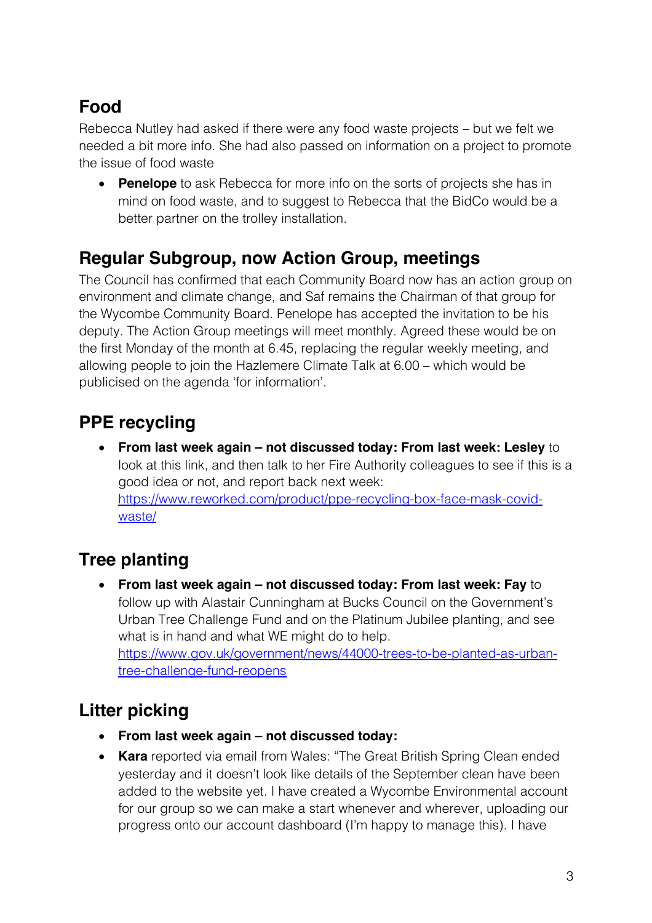# **Food**

Rebecca Nutley had asked if there were any food waste projects – but we felt we needed a bit more info. She had also passed on information on a project to promote the issue of food waste

• **Penelope** to ask Rebecca for more info on the sorts of projects she has in mind on food waste, and to suggest to Rebecca that the BidCo would be a better partner on the trolley installation.

#### **Regular Subgroup, now Action Group, meetings**

The Council has confirmed that each Community Board now has an action group on environment and climate change, and Saf remains the Chairman of that group for the Wycombe Community Board. Penelope has accepted the invitation to be his deputy. The Action Group meetings will meet monthly. Agreed these would be on the first Monday of the month at 6.45, replacing the regular weekly meeting, and allowing people to join the Hazlemere Climate Talk at 6.00 – which would be publicised on the agenda 'for information'.

# **PPE recycling**

• **From last week again – not discussed today: From last week: Lesley** to look at this link, and then talk to her Fire Authority colleagues to see if this is a good idea or not, and report back next week: https://www.reworked.com/product/ppe-recycling-box-face-mask-covidwaste/

# **Tree planting**

• **From last week again – not discussed today: From last week: Fay** to follow up with Alastair Cunningham at Bucks Council on the Government's Urban Tree Challenge Fund and on the Platinum Jubilee planting, and see what is in hand and what WE might do to help. https://www.gov.uk/government/news/44000-trees-to-be-planted-as-urbantree-challenge-fund-reopens

# **Litter picking**

- **From last week again – not discussed today:**
- **Kara** reported via email from Wales: "The Great British Spring Clean ended yesterday and it doesn't look like details of the September clean have been added to the website yet. I have created a Wycombe Environmental account for our group so we can make a start whenever and wherever, uploading our progress onto our account dashboard (I'm happy to manage this). I have